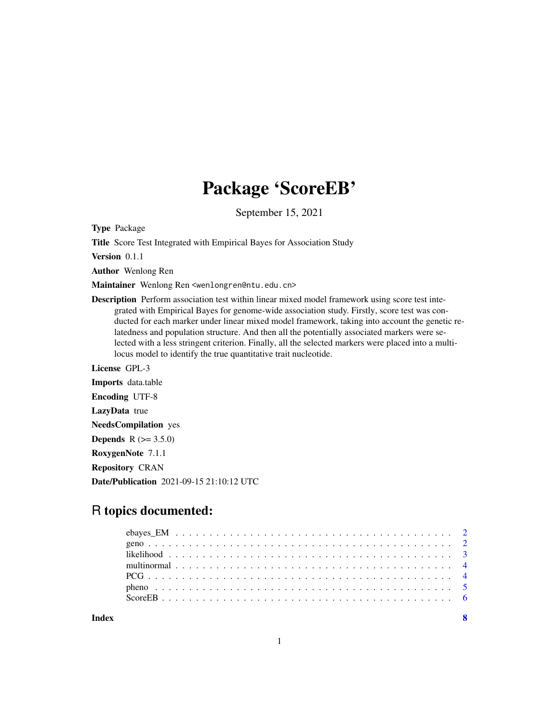## Package 'ScoreEB'

September 15, 2021

Type Package

Title Score Test Integrated with Empirical Bayes for Association Study

Version 0.1.1

Author Wenlong Ren

Maintainer Wenlong Ren <wenlongren@ntu.edu.cn>

Description Perform association test within linear mixed model framework using score test integrated with Empirical Bayes for genome-wide association study. Firstly, score test was conducted for each marker under linear mixed model framework, taking into account the genetic relatedness and population structure. And then all the potentially associated markers were selected with a less stringent criterion. Finally, all the selected markers were placed into a multilocus model to identify the true quantitative trait nucleotide.

License GPL-3 Imports data.table Encoding UTF-8 LazyData true NeedsCompilation yes **Depends** R  $(>= 3.5.0)$ RoxygenNote 7.1.1 Repository CRAN Date/Publication 2021-09-15 21:10:12 UTC

### R topics documented: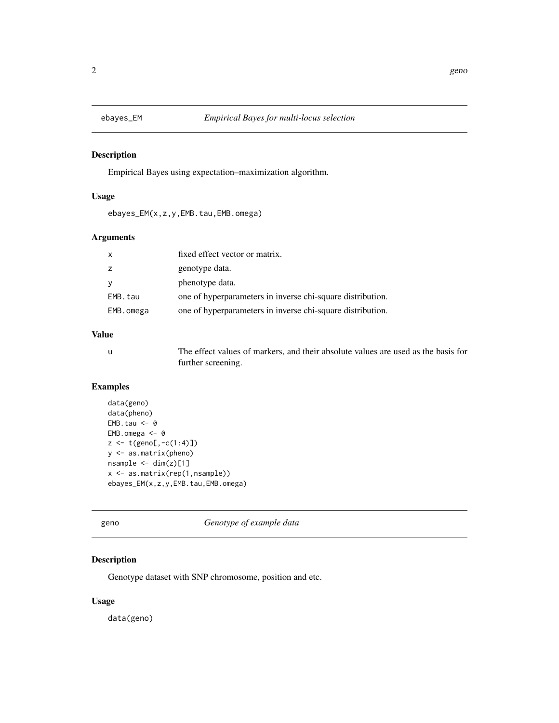<span id="page-1-0"></span>

#### Description

Empirical Bayes using expectation–maximization algorithm.

#### Usage

ebayes\_EM(x,z,y,EMB.tau,EMB.omega)

#### Arguments

| $\boldsymbol{\mathsf{x}}$ | fixed effect vector or matrix.                             |
|---------------------------|------------------------------------------------------------|
| $\overline{z}$            | genotype data.                                             |
| <b>V</b>                  | phenotype data.                                            |
| EMB.tau                   | one of hyperparameters in inverse chi-square distribution. |
| EMB.omega                 | one of hyperparameters in inverse chi-square distribution. |

#### Value

u The effect values of markers, and their absolute values are used as the basis for further screening.

#### Examples

```
data(geno)
data(pheno)
EMB.tau <-0EMB.omega <-0z \leftarrow t(geno[, -c(1:4)]y <- as.matrix(pheno)
nsample < -dim(z)[1]x <- as.matrix(rep(1,nsample))
ebayes_EM(x,z,y,EMB.tau,EMB.omega)
```

|  | × |
|--|---|

Genotype of example data

#### Description

Genotype dataset with SNP chromosome, position and etc.

#### Usage

data(geno)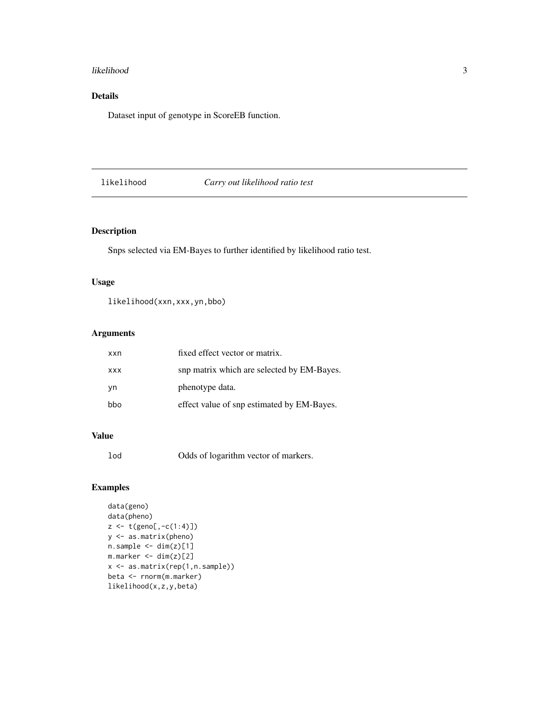#### <span id="page-2-0"></span>likelihood 3

#### Details

Dataset input of genotype in ScoreEB function.

#### likelihood *Carry out likelihood ratio test*

#### Description

Snps selected via EM-Bayes to further identified by likelihood ratio test.

#### Usage

likelihood(xxn,xxx,yn,bbo)

#### Arguments

| xxn        | fixed effect vector or matrix.             |
|------------|--------------------------------------------|
| <b>XXX</b> | snp matrix which are selected by EM-Bayes. |
| vn         | phenotype data.                            |
| bbo        | effect value of snp estimated by EM-Bayes. |

#### Value

lod Odds of logarithm vector of markers.

#### Examples

```
data(geno)
data(pheno)
z <- t(geno[,-c(1:4)])
y <- as.matrix(pheno)
n.sample < - dim(z)[1]m.maxker \leq -dim(z)[2]x <- as.matrix(rep(1,n.sample))
beta <- rnorm(m.marker)
likelihood(x,z,y,beta)
```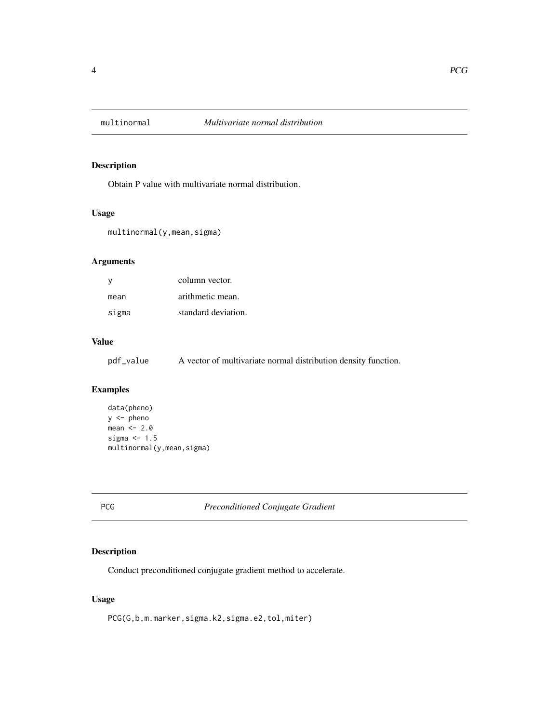<span id="page-3-0"></span>

#### Description

Obtain P value with multivariate normal distribution.

#### Usage

multinormal(y,mean,sigma)

#### Arguments

| v     | column vector.      |
|-------|---------------------|
| mean  | arithmetic mean.    |
| sigma | standard deviation. |

#### Value

pdf\_value A vector of multivariate normal distribution density function.

#### Examples

```
data(pheno)
y <- pheno
mean <-2.0sigma <-1.5multinormal(y,mean,sigma)
```
PCG *Preconditioned Conjugate Gradient*

#### Description

Conduct preconditioned conjugate gradient method to accelerate.

#### Usage

PCG(G,b,m.marker,sigma.k2,sigma.e2,tol,miter)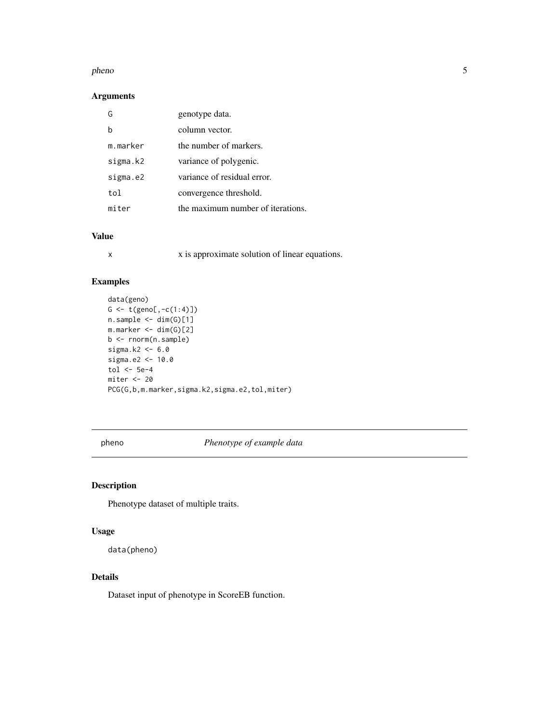#### <span id="page-4-0"></span>pheno 5

#### Arguments

| G        | genotype data.                    |
|----------|-----------------------------------|
|          | column vector.                    |
| m.marker | the number of markers.            |
| sigma.k2 | variance of polygenic.            |
| sigma.e2 | variance of residual error.       |
| tol      | convergence threshold.            |
| miter    | the maximum number of iterations. |

#### Value

x x is approximate solution of linear equations.

#### Examples

```
data(geno)
G \leftarrow t(geno[, -c(1:4)])n.sample < - dim(G)[1]m.marker <- dim(G)[2]
b <- rnorm(n.sample)
sigma.k2 <-6.0sigma.e2 <- 10.0
tol <-5e-4miter <- 20
PCG(G,b,m.marker,sigma.k2,sigma.e2,tol,miter)
```
pheno *Phenotype of example data*

#### Description

Phenotype dataset of multiple traits.

#### Usage

data(pheno)

#### Details

Dataset input of phenotype in ScoreEB function.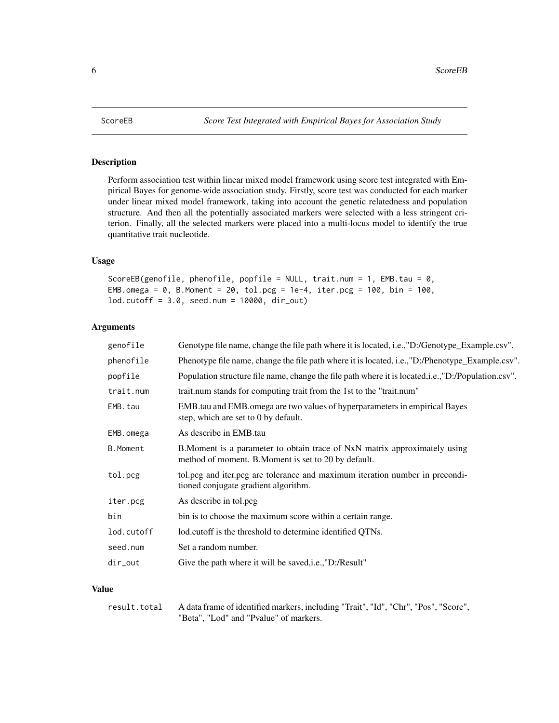<span id="page-5-0"></span>

#### Description

Perform association test within linear mixed model framework using score test integrated with Empirical Bayes for genome-wide association study. Firstly, score test was conducted for each marker under linear mixed model framework, taking into account the genetic relatedness and population structure. And then all the potentially associated markers were selected with a less stringent criterion. Finally, all the selected markers were placed into a multi-locus model to identify the true quantitative trait nucleotide.

#### Usage

```
ScoreEB(genofile, phenofile, popfile = NULL, trait.num = 1, EMB.tau = 0,
EMB.omega = 0, B.Moment = 20, tol.pcg = 1e-4, iter.pcg = 100, bin = 100,
lod.cutoff = 3.0, seed.num = 10000, dir_out)
```
#### Arguments

| genofile        | Genotype file name, change the file path where it is located, i.e., "D:/Genotype_Example.csv".                                     |
|-----------------|------------------------------------------------------------------------------------------------------------------------------------|
| phenofile       | Phenotype file name, change the file path where it is located, i.e., "D:/Phenotype_Example.csv".                                   |
| popfile         | Population structure file name, change the file path where it is located, i.e., "D:/Population.csv".                               |
| trait.num       | trait.num stands for computing trait from the 1st to the "trait.num"                                                               |
| EMB.tau         | EMB tau and EMB omega are two values of hyperparameters in empirical Bayes<br>step, which are set to 0 by default.                 |
| EMB.omega       | As describe in EMB tau                                                                                                             |
| <b>B.Moment</b> | B. Moment is a parameter to obtain trace of NxN matrix approximately using<br>method of moment. B. Moment is set to 20 by default. |
| tol.pcg         | tol.pcg and iter.pcg are tolerance and maximum iteration number in precondi-<br>tioned conjugate gradient algorithm.               |
| iter.pcg        | As describe in tol.pcg                                                                                                             |
| bin             | bin is to choose the maximum score within a certain range.                                                                         |
| lod.cutoff      | lod.cutoff is the threshold to determine identified QTNs.                                                                          |
| seed.num        | Set a random number.                                                                                                               |
| dir_out         | Give the path where it will be saved, i.e., "D:/Result"                                                                            |
|                 |                                                                                                                                    |

#### Value

```
result.total A data frame of identified markers, including "Trait", "Id", "Chr", "Pos", "Score",
                  "Beta", "Lod" and "Pvalue" of markers.
```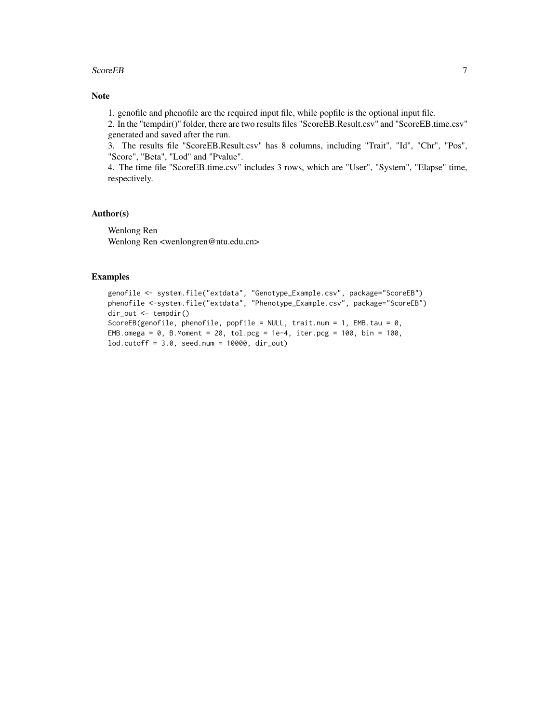#### ScoreEB 7

#### Note

1. genofile and phenofile are the required input file, while popfile is the optional input file.

2. In the "tempdir()" folder, there are two results files "ScoreEB.Result.csv" and "ScoreEB.time.csv" generated and saved after the run.

3. The results file "ScoreEB.Result.csv" has 8 columns, including "Trait", "Id", "Chr", "Pos", "Score", "Beta", "Lod" and "Pvalue".

4. The time file "ScoreEB.time.csv" includes 3 rows, which are "User", "System", "Elapse" time, respectively.

#### Author(s)

Wenlong Ren Wenlong Ren <wenlongren@ntu.edu.cn>

#### Examples

```
genofile <- system.file("extdata", "Genotype_Example.csv", package="ScoreEB")
phenofile <-system.file("extdata", "Phenotype_Example.csv", package="ScoreEB")
dir_out <- tempdir()
ScoreEB(genofile, phenofile, popfile = NULL, trait.num = 1, EMB.tau = 0,
EMB.omega = 0, B.Moment = 20, tol.pcg = 1e-4, iter.pcg = 100, bin = 100,
lod.cutoff = 3.0, seed.num = 10000, dir_out)
```